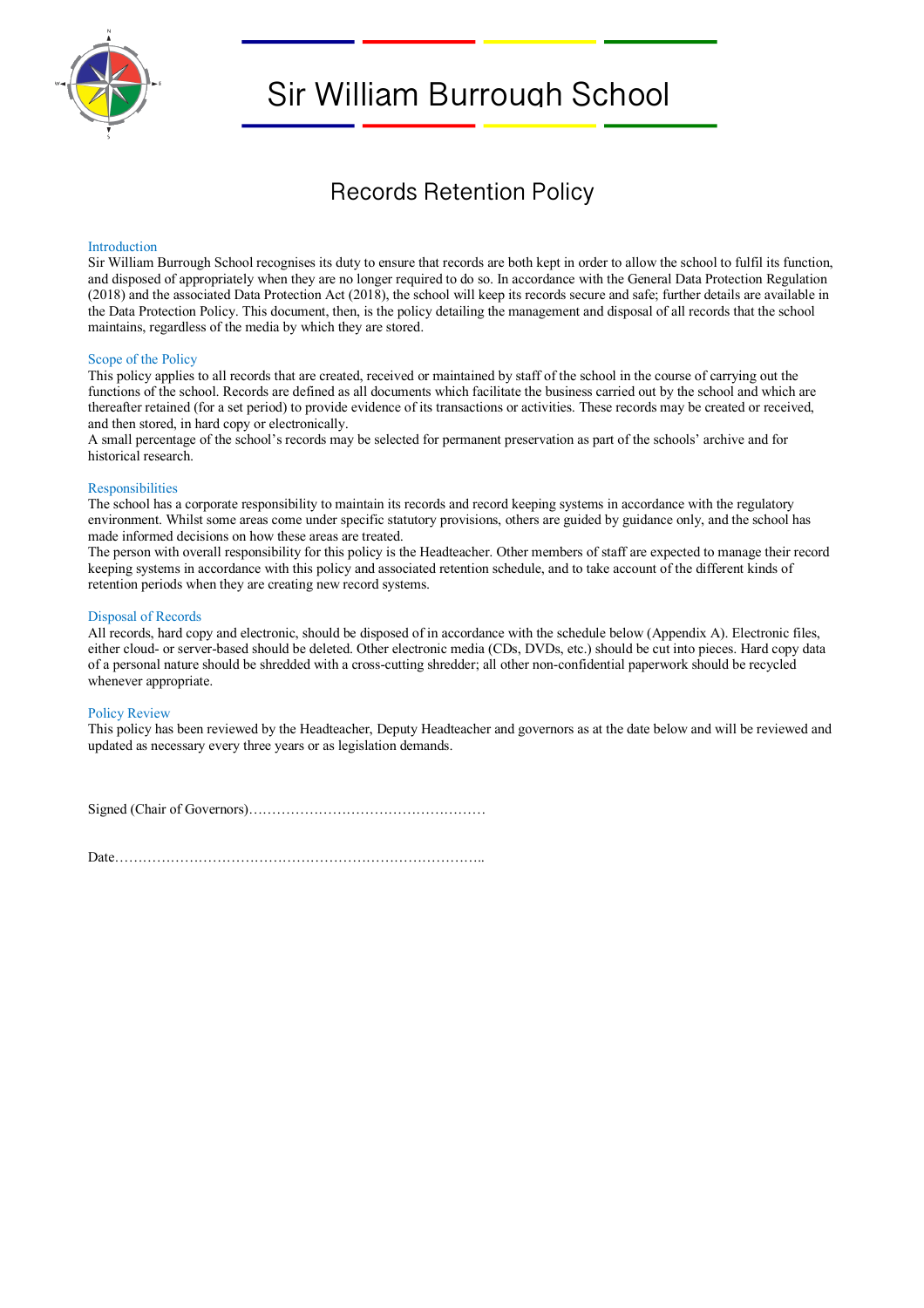

# Sir William Burrough School

## Records Retention Policy

#### Introduction

Sir William Burrough School recognises its duty to ensure that records are both kept in order to allow the school to fulfil its function, and disposed of appropriately when they are no longer required to do so. In accordance with the General Data Protection Regulation (2018) and the associated Data Protection Act (2018), the school will keep its records secure and safe; further details are available in the Data Protection Policy. This document, then, is the policy detailing the management and disposal of all records that the school maintains, regardless of the media by which they are stored.

#### Scope of the Policy

This policy applies to all records that are created, received or maintained by staff of the school in the course of carrying out the functions of the school. Records are defined as all documents which facilitate the business carried out by the school and which are thereafter retained (for a set period) to provide evidence of its transactions or activities. These records may be created or received, and then stored, in hard copy or electronically.

A small percentage of the school's records may be selected for permanent preservation as part of the schools' archive and for historical research.

#### **Responsibilities**

The school has a corporate responsibility to maintain its records and record keeping systems in accordance with the regulatory environment. Whilst some areas come under specific statutory provisions, others are guided by guidance only, and the school has made informed decisions on how these areas are treated.

The person with overall responsibility for this policy is the Headteacher. Other members of staff are expected to manage their record keeping systems in accordance with this policy and associated retention schedule, and to take account of the different kinds of retention periods when they are creating new record systems.

#### Disposal of Records

All records, hard copy and electronic, should be disposed of in accordance with the schedule below (Appendix A). Electronic files, either cloud- or server-based should be deleted. Other electronic media (CDs, DVDs, etc.) should be cut into pieces. Hard copy data of a personal nature should be shredded with a cross-cutting shredder; all other non-confidential paperwork should be recycled whenever appropriate.

#### Policy Review

This policy has been reviewed by the Headteacher, Deputy Headteacher and governors as at the date below and will be reviewed and updated as necessary every three years or as legislation demands.

Signed (Chair of Governors)……………………………………………

Date……………………………………………………………………..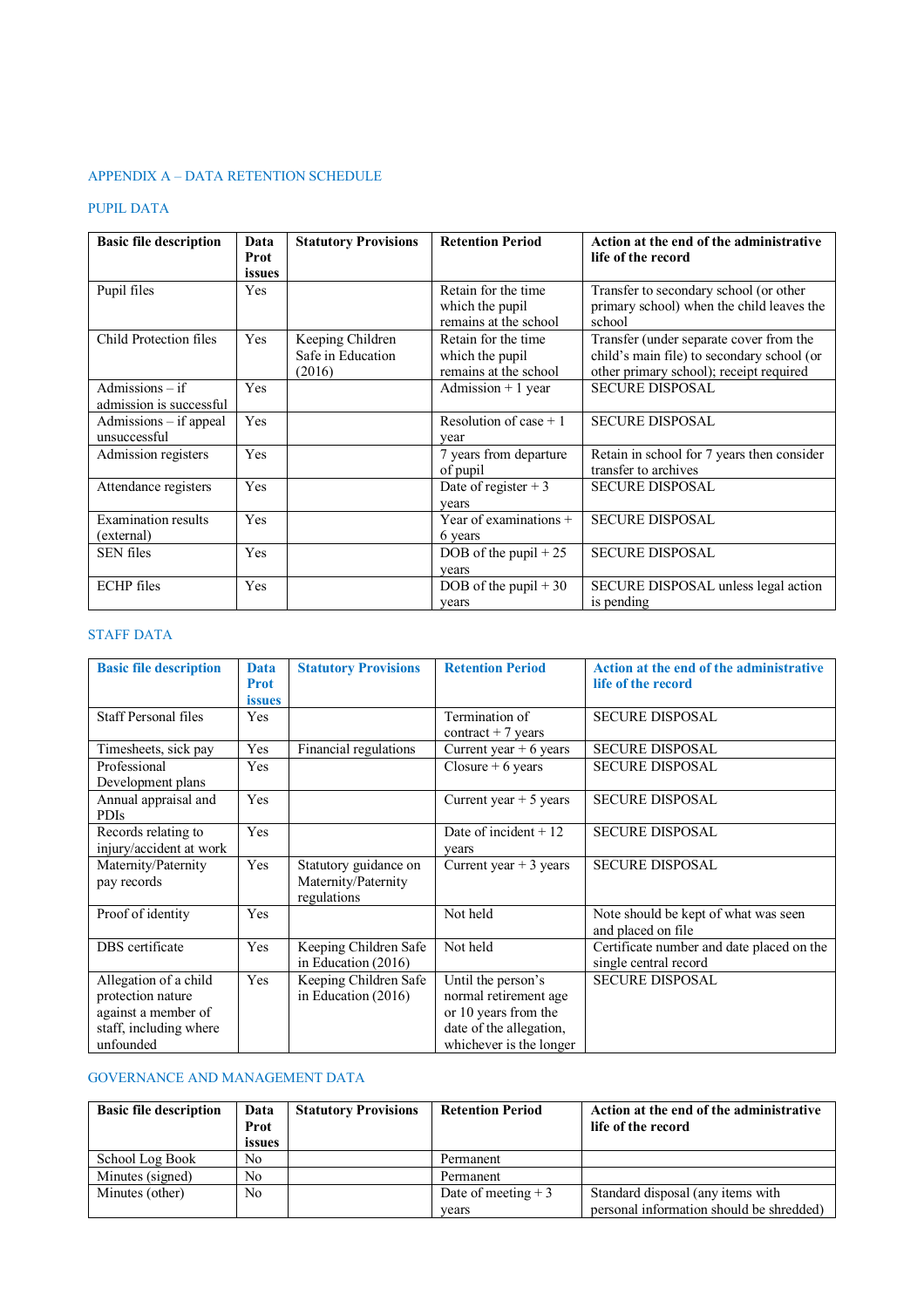## APPENDIX A – DATA RETENTION SCHEDULE

## PUPIL DATA

| <b>Basic file description</b>                | Data           | <b>Statutory Provisions</b>                     | <b>Retention Period</b>                                         | Action at the end of the administrative                                                                                          |
|----------------------------------------------|----------------|-------------------------------------------------|-----------------------------------------------------------------|----------------------------------------------------------------------------------------------------------------------------------|
|                                              | Prot<br>issues |                                                 |                                                                 | life of the record                                                                                                               |
| Pupil files                                  | Yes            |                                                 | Retain for the time<br>which the pupil<br>remains at the school | Transfer to secondary school (or other<br>primary school) when the child leaves the<br>school                                    |
| Child Protection files                       | Yes            | Keeping Children<br>Safe in Education<br>(2016) | Retain for the time<br>which the pupil<br>remains at the school | Transfer (under separate cover from the<br>child's main file) to secondary school (or<br>other primary school); receipt required |
| Admissions $-$ if<br>admission is successful | Yes            |                                                 | Admission $+1$ year                                             | <b>SECURE DISPOSAL</b>                                                                                                           |
| Admissions – if appeal<br>unsuccessful       | Yes            |                                                 | Resolution of case $+1$<br>vear                                 | <b>SECURE DISPOSAL</b>                                                                                                           |
| Admission registers                          | Yes            |                                                 | 7 years from departure<br>of pupil                              | Retain in school for 7 years then consider<br>transfer to archives                                                               |
| Attendance registers                         | Yes            |                                                 | Date of register + 3<br>vears                                   | <b>SECURE DISPOSAL</b>                                                                                                           |
| <b>Examination results</b><br>(external)     | <b>Yes</b>     |                                                 | Year of examinations $+$<br>6 years                             | <b>SECURE DISPOSAL</b>                                                                                                           |
| <b>SEN</b> files                             | Yes            |                                                 | DOB of the pupil $+25$<br>vears                                 | <b>SECURE DISPOSAL</b>                                                                                                           |
| <b>ECHP</b> files                            | Yes            |                                                 | DOB of the pupil $+30$<br>vears                                 | SECURE DISPOSAL unless legal action<br>is pending                                                                                |

## STAFF DATA

| <b>Basic file description</b>                                                                            | <b>Data</b><br><b>Prot</b><br><i>issues</i> | <b>Statutory Provisions</b>                                 | <b>Retention Period</b>                                                                                                   | Action at the end of the administrative<br>life of the record      |
|----------------------------------------------------------------------------------------------------------|---------------------------------------------|-------------------------------------------------------------|---------------------------------------------------------------------------------------------------------------------------|--------------------------------------------------------------------|
| <b>Staff Personal files</b>                                                                              | Yes                                         |                                                             | Termination of<br>$contract + 7 years$                                                                                    | <b>SECURE DISPOSAL</b>                                             |
| Timesheets, sick pay                                                                                     | Yes                                         | Financial regulations                                       | Current year $+6$ years                                                                                                   | <b>SECURE DISPOSAL</b>                                             |
| Professional<br>Development plans                                                                        | Yes                                         |                                                             | Closure $+6$ years                                                                                                        | <b>SECURE DISPOSAL</b>                                             |
| Annual appraisal and<br>PDIs                                                                             | Yes                                         |                                                             | Current year $+5$ years                                                                                                   | <b>SECURE DISPOSAL</b>                                             |
| Records relating to<br>injury/accident at work                                                           | Yes                                         |                                                             | Date of incident $+12$<br>years                                                                                           | <b>SECURE DISPOSAL</b>                                             |
| Maternity/Paternity<br>pay records                                                                       | Yes                                         | Statutory guidance on<br>Maternity/Paternity<br>regulations | Current year $+3$ years                                                                                                   | <b>SECURE DISPOSAL</b>                                             |
| Proof of identity                                                                                        | Yes                                         |                                                             | Not held                                                                                                                  | Note should be kept of what was seen<br>and placed on file         |
| DBS certificate                                                                                          | Yes                                         | Keeping Children Safe<br>in Education (2016)                | Not held                                                                                                                  | Certificate number and date placed on the<br>single central record |
| Allegation of a child<br>protection nature<br>against a member of<br>staff, including where<br>unfounded | Yes                                         | Keeping Children Safe<br>in Education $(2016)$              | Until the person's<br>normal retirement age<br>or 10 years from the<br>date of the allegation,<br>whichever is the longer | <b>SECURE DISPOSAL</b>                                             |

## GOVERNANCE AND MANAGEMENT DATA

| <b>Basic file description</b> | Data           | <b>Statutory Provisions</b> | <b>Retention Period</b> | Action at the end of the administrative  |
|-------------------------------|----------------|-----------------------------|-------------------------|------------------------------------------|
|                               | Prot           |                             |                         | life of the record                       |
|                               | issues         |                             |                         |                                          |
| School Log Book               | N <sub>0</sub> |                             | Permanent               |                                          |
| Minutes (signed)              | N <sub>0</sub> |                             | Permanent               |                                          |
| Minutes (other)               | N <sub>0</sub> |                             | Date of meeting $+3$    | Standard disposal (any items with        |
|                               |                |                             | years                   | personal information should be shredded) |